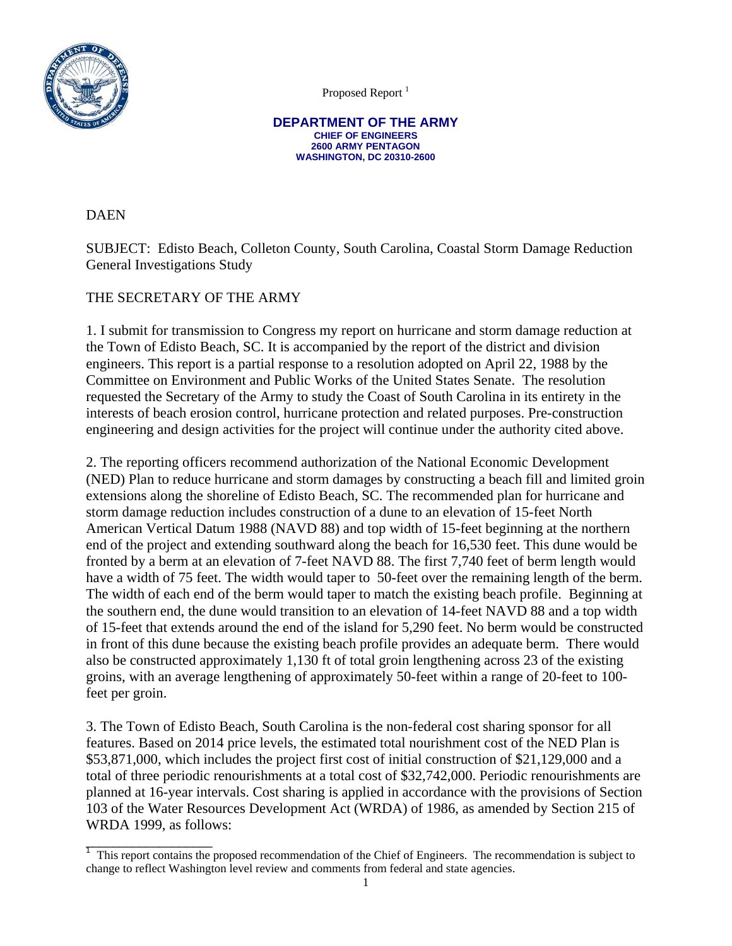

Proposed Report<sup>1</sup>

**DEPARTMENT OF THE ARMY CHIEF OF ENGINEERS 2600 ARMY PENTAGON WASHINGTON, DC 20310-2600** 

DAEN

SUBJECT: Edisto Beach, Colleton County, South Carolina, Coastal Storm Damage Reduction General Investigations Study

# THE SECRETARY OF THE ARMY

\_\_\_\_\_\_\_\_\_\_\_\_\_\_\_\_\_\_\_

1. I submit for transmission to Congress my report on hurricane and storm damage reduction at the Town of Edisto Beach, SC. It is accompanied by the report of the district and division engineers. This report is a partial response to a resolution adopted on April 22, 1988 by the Committee on Environment and Public Works of the United States Senate. The resolution requested the Secretary of the Army to study the Coast of South Carolina in its entirety in the interests of beach erosion control, hurricane protection and related purposes. Pre-construction engineering and design activities for the project will continue under the authority cited above.

2. The reporting officers recommend authorization of the National Economic Development (NED) Plan to reduce hurricane and storm damages by constructing a beach fill and limited groin extensions along the shoreline of Edisto Beach, SC. The recommended plan for hurricane and storm damage reduction includes construction of a dune to an elevation of 15-feet North American Vertical Datum 1988 (NAVD 88) and top width of 15-feet beginning at the northern end of the project and extending southward along the beach for 16,530 feet. This dune would be fronted by a berm at an elevation of 7-feet NAVD 88. The first 7,740 feet of berm length would have a width of 75 feet. The width would taper to 50-feet over the remaining length of the berm. The width of each end of the berm would taper to match the existing beach profile. Beginning at the southern end, the dune would transition to an elevation of 14-feet NAVD 88 and a top width of 15-feet that extends around the end of the island for 5,290 feet. No berm would be constructed in front of this dune because the existing beach profile provides an adequate berm. There would also be constructed approximately 1,130 ft of total groin lengthening across 23 of the existing groins, with an average lengthening of approximately 50-feet within a range of 20-feet to 100 feet per groin.

3. The Town of Edisto Beach, South Carolina is the non-federal cost sharing sponsor for all features. Based on 2014 price levels, the estimated total nourishment cost of the NED Plan is \$53,871,000, which includes the project first cost of initial construction of \$21,129,000 and a total of three periodic renourishments at a total cost of \$32,742,000. Periodic renourishments are planned at 16-year intervals. Cost sharing is applied in accordance with the provisions of Section 103 of the Water Resources Development Act (WRDA) of 1986, as amended by Section 215 of WRDA 1999, as follows:

<sup>&</sup>lt;sup>1</sup> This report contains the proposed recommendation of the Chief of Engineers. The recommendation is subject to change to reflect Washington level review and comments from federal and state agencies.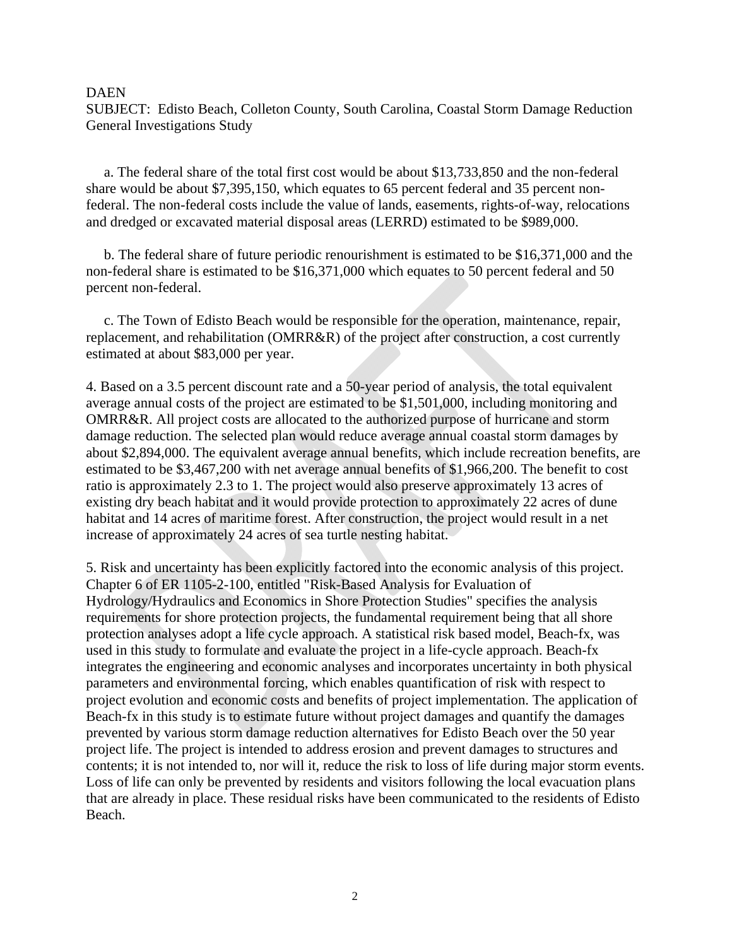SUBJECT: Edisto Beach, Colleton County, South Carolina, Coastal Storm Damage Reduction General Investigations Study

 a. The federal share of the total first cost would be about \$13,733,850 and the non-federal share would be about \$7,395,150, which equates to 65 percent federal and 35 percent nonfederal. The non-federal costs include the value of lands, easements, rights-of-way, relocations and dredged or excavated material disposal areas (LERRD) estimated to be \$989,000.

 b. The federal share of future periodic renourishment is estimated to be \$16,371,000 and the non-federal share is estimated to be \$16,371,000 which equates to 50 percent federal and 50 percent non-federal.

 c. The Town of Edisto Beach would be responsible for the operation, maintenance, repair, replacement, and rehabilitation (OMRR&R) of the project after construction, a cost currently estimated at about \$83,000 per year.

4. Based on a 3.5 percent discount rate and a 50-year period of analysis, the total equivalent average annual costs of the project are estimated to be \$1,501,000, including monitoring and OMRR&R. All project costs are allocated to the authorized purpose of hurricane and storm damage reduction. The selected plan would reduce average annual coastal storm damages by about \$2,894,000. The equivalent average annual benefits, which include recreation benefits, are estimated to be \$3,467,200 with net average annual benefits of \$1,966,200. The benefit to cost ratio is approximately 2.3 to 1. The project would also preserve approximately 13 acres of existing dry beach habitat and it would provide protection to approximately 22 acres of dune habitat and 14 acres of maritime forest. After construction, the project would result in a net increase of approximately 24 acres of sea turtle nesting habitat.

5. Risk and uncertainty has been explicitly factored into the economic analysis of this project. Chapter 6 of ER 1105-2-100, entitled "Risk-Based Analysis for Evaluation of Hydrology/Hydraulics and Economics in Shore Protection Studies" specifies the analysis requirements for shore protection projects, the fundamental requirement being that all shore protection analyses adopt a life cycle approach. A statistical risk based model, Beach-fx, was used in this study to formulate and evaluate the project in a life-cycle approach. Beach-fx integrates the engineering and economic analyses and incorporates uncertainty in both physical parameters and environmental forcing, which enables quantification of risk with respect to project evolution and economic costs and benefits of project implementation. The application of Beach-fx in this study is to estimate future without project damages and quantify the damages prevented by various storm damage reduction alternatives for Edisto Beach over the 50 year project life. The project is intended to address erosion and prevent damages to structures and contents; it is not intended to, nor will it, reduce the risk to loss of life during major storm events. Loss of life can only be prevented by residents and visitors following the local evacuation plans that are already in place. These residual risks have been communicated to the residents of Edisto Beach.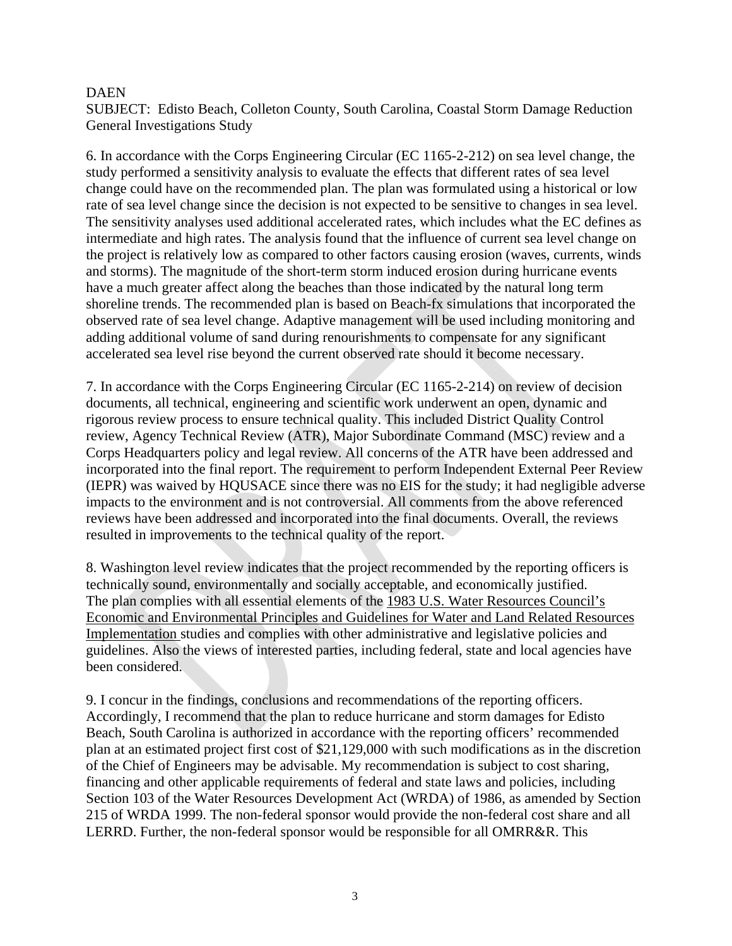SUBJECT: Edisto Beach, Colleton County, South Carolina, Coastal Storm Damage Reduction General Investigations Study

6. In accordance with the Corps Engineering Circular (EC 1165-2-212) on sea level change, the study performed a sensitivity analysis to evaluate the effects that different rates of sea level change could have on the recommended plan. The plan was formulated using a historical or low rate of sea level change since the decision is not expected to be sensitive to changes in sea level. The sensitivity analyses used additional accelerated rates, which includes what the EC defines as intermediate and high rates. The analysis found that the influence of current sea level change on the project is relatively low as compared to other factors causing erosion (waves, currents, winds and storms). The magnitude of the short-term storm induced erosion during hurricane events have a much greater affect along the beaches than those indicated by the natural long term shoreline trends. The recommended plan is based on Beach-fx simulations that incorporated the observed rate of sea level change. Adaptive management will be used including monitoring and adding additional volume of sand during renourishments to compensate for any significant accelerated sea level rise beyond the current observed rate should it become necessary.

7. In accordance with the Corps Engineering Circular (EC 1165-2-214) on review of decision documents, all technical, engineering and scientific work underwent an open, dynamic and rigorous review process to ensure technical quality. This included District Quality Control review, Agency Technical Review (ATR), Major Subordinate Command (MSC) review and a Corps Headquarters policy and legal review. All concerns of the ATR have been addressed and incorporated into the final report. The requirement to perform Independent External Peer Review (IEPR) was waived by HQUSACE since there was no EIS for the study; it had negligible adverse impacts to the environment and is not controversial. All comments from the above referenced reviews have been addressed and incorporated into the final documents. Overall, the reviews resulted in improvements to the technical quality of the report.

8. Washington level review indicates that the project recommended by the reporting officers is technically sound, environmentally and socially acceptable, and economically justified. The plan complies with all essential elements of the 1983 U.S. Water Resources Council's Economic and Environmental Principles and Guidelines for Water and Land Related Resources Implementation studies and complies with other administrative and legislative policies and guidelines. Also the views of interested parties, including federal, state and local agencies have been considered.

9. I concur in the findings, conclusions and recommendations of the reporting officers. Accordingly, I recommend that the plan to reduce hurricane and storm damages for Edisto Beach, South Carolina is authorized in accordance with the reporting officers' recommended plan at an estimated project first cost of \$21,129,000 with such modifications as in the discretion of the Chief of Engineers may be advisable. My recommendation is subject to cost sharing, financing and other applicable requirements of federal and state laws and policies, including Section 103 of the Water Resources Development Act (WRDA) of 1986, as amended by Section 215 of WRDA 1999. The non-federal sponsor would provide the non-federal cost share and all LERRD. Further, the non-federal sponsor would be responsible for all OMRR&R. This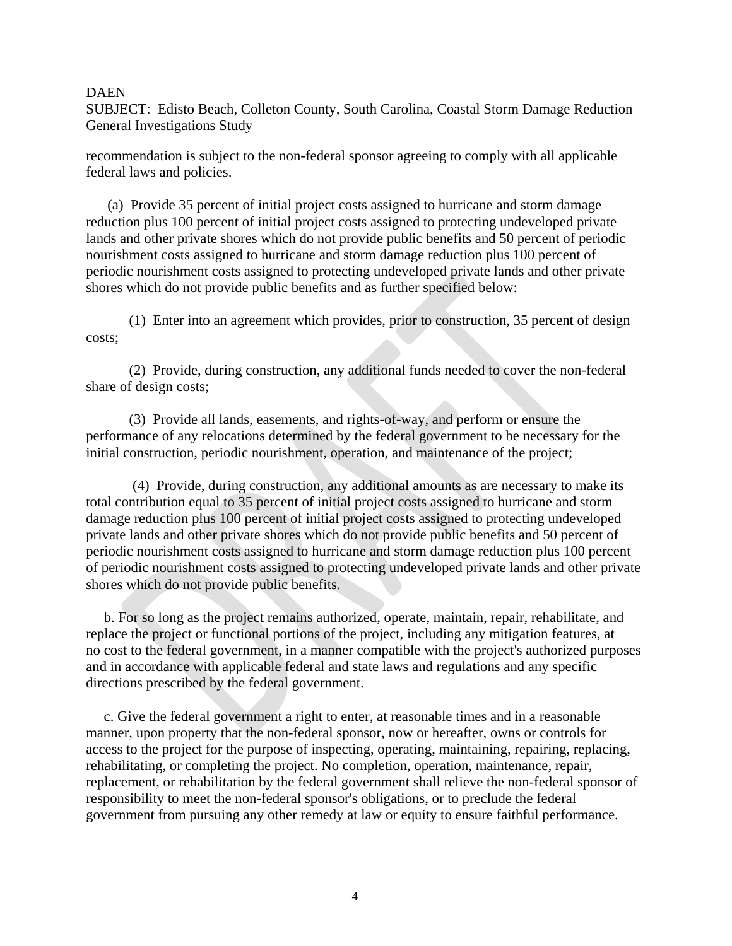SUBJECT: Edisto Beach, Colleton County, South Carolina, Coastal Storm Damage Reduction General Investigations Study

recommendation is subject to the non-federal sponsor agreeing to comply with all applicable federal laws and policies.

 (a) Provide 35 percent of initial project costs assigned to hurricane and storm damage reduction plus 100 percent of initial project costs assigned to protecting undeveloped private lands and other private shores which do not provide public benefits and 50 percent of periodic nourishment costs assigned to hurricane and storm damage reduction plus 100 percent of periodic nourishment costs assigned to protecting undeveloped private lands and other private shores which do not provide public benefits and as further specified below:

 (1) Enter into an agreement which provides, prior to construction, 35 percent of design costs;

 (2) Provide, during construction, any additional funds needed to cover the non-federal share of design costs;

 (3) Provide all lands, easements, and rights-of-way, and perform or ensure the performance of any relocations determined by the federal government to be necessary for the initial construction, periodic nourishment, operation, and maintenance of the project;

 (4) Provide, during construction, any additional amounts as are necessary to make its total contribution equal to 35 percent of initial project costs assigned to hurricane and storm damage reduction plus 100 percent of initial project costs assigned to protecting undeveloped private lands and other private shores which do not provide public benefits and 50 percent of periodic nourishment costs assigned to hurricane and storm damage reduction plus 100 percent of periodic nourishment costs assigned to protecting undeveloped private lands and other private shores which do not provide public benefits.

 b. For so long as the project remains authorized, operate, maintain, repair, rehabilitate, and replace the project or functional portions of the project, including any mitigation features, at no cost to the federal government, in a manner compatible with the project's authorized purposes and in accordance with applicable federal and state laws and regulations and any specific directions prescribed by the federal government.

 c. Give the federal government a right to enter, at reasonable times and in a reasonable manner, upon property that the non-federal sponsor, now or hereafter, owns or controls for access to the project for the purpose of inspecting, operating, maintaining, repairing, replacing, rehabilitating, or completing the project. No completion, operation, maintenance, repair, replacement, or rehabilitation by the federal government shall relieve the non-federal sponsor of responsibility to meet the non-federal sponsor's obligations, or to preclude the federal government from pursuing any other remedy at law or equity to ensure faithful performance.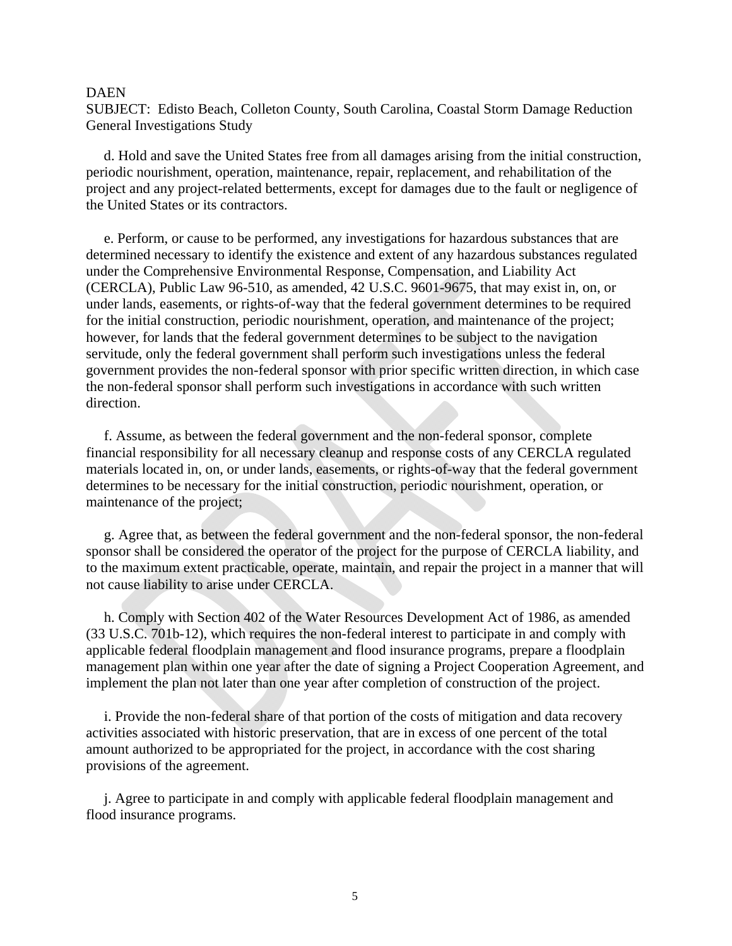SUBJECT: Edisto Beach, Colleton County, South Carolina, Coastal Storm Damage Reduction General Investigations Study

 d. Hold and save the United States free from all damages arising from the initial construction, periodic nourishment, operation, maintenance, repair, replacement, and rehabilitation of the project and any project-related betterments, except for damages due to the fault or negligence of the United States or its contractors.

 e. Perform, or cause to be performed, any investigations for hazardous substances that are determined necessary to identify the existence and extent of any hazardous substances regulated under the Comprehensive Environmental Response, Compensation, and Liability Act (CERCLA), Public Law 96-510, as amended, 42 U.S.C. 9601-9675, that may exist in, on, or under lands, easements, or rights-of-way that the federal government determines to be required for the initial construction, periodic nourishment, operation, and maintenance of the project; however, for lands that the federal government determines to be subject to the navigation servitude, only the federal government shall perform such investigations unless the federal government provides the non-federal sponsor with prior specific written direction, in which case the non-federal sponsor shall perform such investigations in accordance with such written direction.

 f. Assume, as between the federal government and the non-federal sponsor, complete financial responsibility for all necessary cleanup and response costs of any CERCLA regulated materials located in, on, or under lands, easements, or rights-of-way that the federal government determines to be necessary for the initial construction, periodic nourishment, operation, or maintenance of the project;

 g. Agree that, as between the federal government and the non-federal sponsor, the non-federal sponsor shall be considered the operator of the project for the purpose of CERCLA liability, and to the maximum extent practicable, operate, maintain, and repair the project in a manner that will not cause liability to arise under CERCLA.

 h. Comply with Section 402 of the Water Resources Development Act of 1986, as amended (33 U.S.C. 701b-12), which requires the non-federal interest to participate in and comply with applicable federal floodplain management and flood insurance programs, prepare a floodplain management plan within one year after the date of signing a Project Cooperation Agreement, and implement the plan not later than one year after completion of construction of the project.

 i. Provide the non-federal share of that portion of the costs of mitigation and data recovery activities associated with historic preservation, that are in excess of one percent of the total amount authorized to be appropriated for the project, in accordance with the cost sharing provisions of the agreement.

 j. Agree to participate in and comply with applicable federal floodplain management and flood insurance programs.